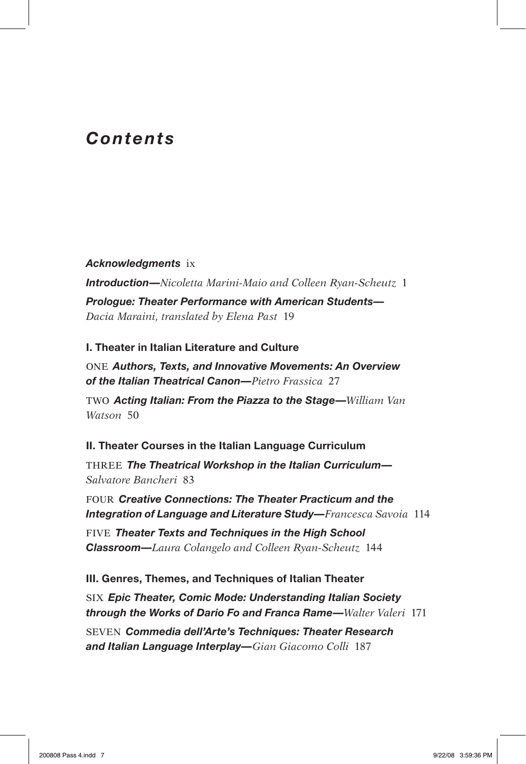# *Contents*

### *Acknowledgments* ix

*Introduction—Nicoletta Marini-Maio and Colleen Ryan-Scheutz* 1

*Prologue: Theater Performance with American Students— Dacia Maraini, translated by Elena Past* 19

## **I. Theater in Italian Literature and Culture**

ONE *Authors, Texts, and Innovative Movements: An Overview of the Italian Theatrical Canon—Pietro Frassica* 27

TWO *Acting Italian: From the Piazza to the Stage—William Van Watson* 50

# **II. Theater Courses in the Italian Language Curriculum**

THREE *The Theatrical Workshop in the Italian Curriculum— Salvatore Bancheri* 83

FOUR *Creative Connections: The Theater Practicum and the Integration of Language and Literature Study—Francesca Savoia* 114

FIVE *Theater Texts and Techniques in the High School Classroom—Laura Colangelo and Colleen Ryan-Scheutz* 144

## **III. Genres, Themes, and Techniques of Italian Theater**

SIX *Epic Theater, Comic Mode: Understanding Italian Society through the Works of Dario Fo and Franca Rame—Walter Valeri* 171

SEVEN *Commedia dell'Arte's Techniques: Theater Research and Italian Language Interplay—Gian Giacomo Colli* 187